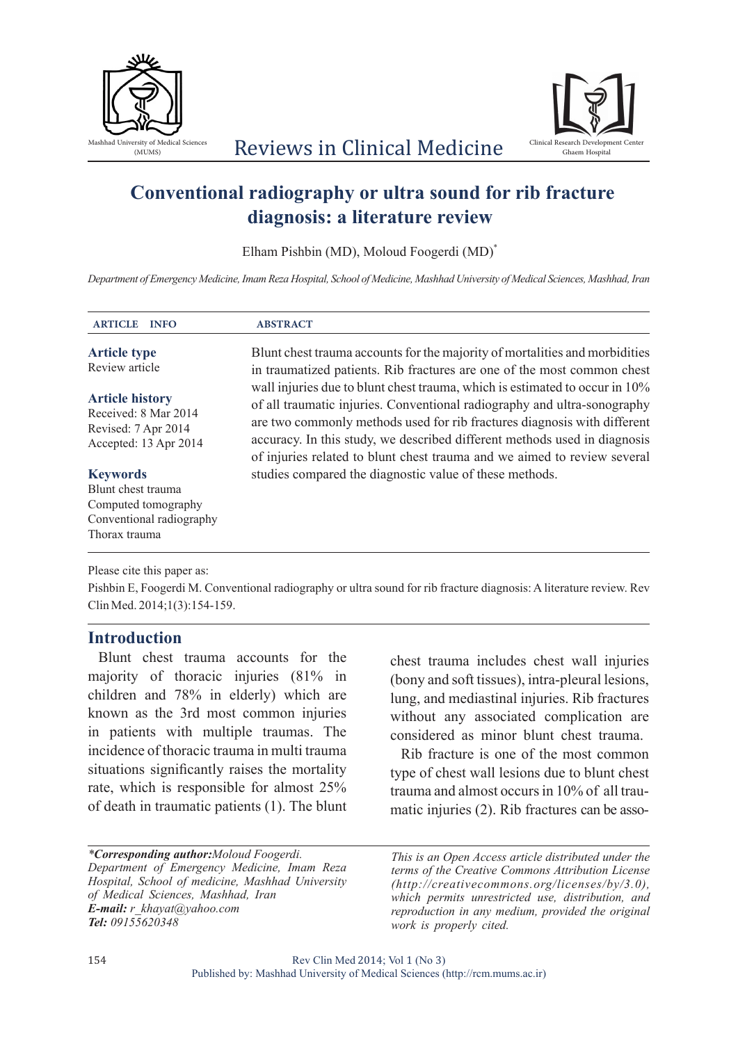



# **Conventional radiography or ultra sound for rib fracture diagnosis: a literature review**

Elham Pishbin (MD), Moloud Foogerdi (MD)<sup>\*</sup>

*Department of Emergency Medicine, Imam Reza Hospital, School of Medicine, Mashhad University of Medical Sciences, Mashhad, Iran*

| <b>ARTICLE</b><br><b>INFO</b>                                                                             | <b>ABSTRACT</b>                                                                                                                                                                                                                                                                                                                                                                              |
|-----------------------------------------------------------------------------------------------------------|----------------------------------------------------------------------------------------------------------------------------------------------------------------------------------------------------------------------------------------------------------------------------------------------------------------------------------------------------------------------------------------------|
| <b>Article type</b><br>Review article                                                                     | Blunt chest trauma accounts for the majority of mortalities and morbidities<br>in traumatized patients. Rib fractures are one of the most common chest                                                                                                                                                                                                                                       |
| <b>Article history</b><br>Received: 8 Mar 2014<br>Revised: 7 Apr 2014<br>Accepted: 13 Apr 2014            | wall injuries due to blunt chest trauma, which is estimated to occur in 10%<br>of all traumatic injuries. Conventional radiography and ultra-sonography<br>are two commonly methods used for rib fractures diagnosis with different<br>accuracy. In this study, we described different methods used in diagnosis<br>of injuries related to blunt chest trauma and we aimed to review several |
| <b>Keywords</b><br>Blunt chest trauma<br>Computed tomography<br>Conventional radiography<br>Thorax trauma | studies compared the diagnostic value of these methods.                                                                                                                                                                                                                                                                                                                                      |

Please cite this paper as:

Pishbin E, Foogerdi M. Conventional radiography or ultra sound for rib fracture diagnosis: A literature review. Rev Clin Med. 2014;1(3):154-159.

### **Introduction**

Blunt chest trauma accounts for the majority of thoracic injuries (81% in children and 78% in elderly) which are known as the 3rd most common injuries in patients with multiple traumas. The incidence of thoracic trauma in multi trauma situations significantly raises the mortality rate, which is responsible for almost 25% of death in traumatic patients (1). The blunt

*\*Corresponding author:Moloud Foogerdi. Department of Emergency Medicine, Imam Reza Hospital, School of medicine, Mashhad University of Medical Sciences, Mashhad, Iran E-mail: r\_khayat@yahoo.com Tel: 09155620348*

chest trauma includes chest wall injuries (bony and soft tissues), intra-pleural lesions, lung, and mediastinal injuries. Rib fractures without any associated complication are considered as minor blunt chest trauma.

Rib fracture is one of the most common type of chest wall lesions due to blunt chest trauma and almost occurs in 10% of all traumatic injuries (2). Rib fractures can be asso-

*This is an Open Access article distributed under the terms of the Creative Commons Attribution License (http://creativecommons.org/licenses/by/3.0), which permits unrestricted use, distribution, and reproduction in any medium, provided the original work is properly cited.*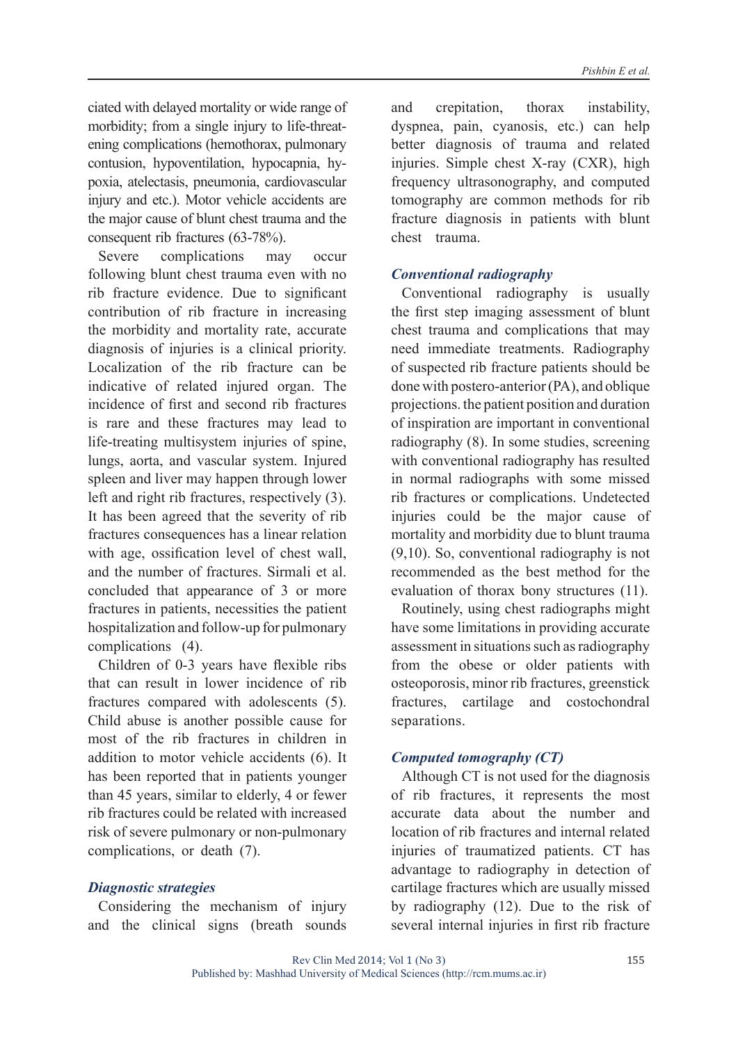ciated with delayed mortality or wide range of morbidity; from a single injury to life-threatening complications (hemothorax, pulmonary contusion, hypoventilation, hypocapnia, hypoxia, atelectasis, pneumonia, cardiovascular injury and etc.). Motor vehicle accidents are the major cause of blunt chest trauma and the consequent rib fractures (63-78%).

Severe complications may occur following blunt chest trauma even with no rib fracture evidence. Due to significant contribution of rib fracture in increasing the morbidity and mortality rate, accurate diagnosis of injuries is a clinical priority. Localization of the rib fracture can be indicative of related injured organ. The incidence of first and second rib fractures is rare and these fractures may lead to life-treating multisystem injuries of spine, lungs, aorta, and vascular system. Injured spleen and liver may happen through lower left and right rib fractures, respectively (3). It has been agreed that the severity of rib fractures consequences has a linear relation with age, ossification level of chest wall, and the number of fractures. Sirmali et al. concluded that appearance of 3 or more fractures in patients, necessities the patient hospitalization and follow-up for pulmonary complications (4).

Children of 0-3 years have flexible ribs that can result in lower incidence of rib fractures compared with adolescents (5). Child abuse is another possible cause for most of the rib fractures in children in addition to motor vehicle accidents (6). It has been reported that in patients younger than 45 years, similar to elderly, 4 or fewer rib fractures could be related with increased risk of severe pulmonary or non-pulmonary complications, or death (7).

#### *Diagnostic strategies*

Considering the mechanism of injury and the clinical signs (breath sounds and crepitation, thorax instability, dyspnea, pain, cyanosis, etc.) can help better diagnosis of trauma and related injuries. Simple chest X-ray (CXR), high frequency ultrasonography, and computed tomography are common methods for rib fracture diagnosis in patients with blunt chest trauma.

#### *Conventional radiography*

Conventional radiography is usually the first step imaging assessment of blunt chest trauma and complications that may need immediate treatments. Radiography of suspected rib fracture patients should be done with postero-anterior (PA), and oblique projections. the patient position and duration of inspiration are important in conventional radiography (8). In some studies, screening with conventional radiography has resulted in normal radiographs with some missed rib fractures or complications. Undetected injuries could be the major cause of mortality and morbidity due to blunt trauma (9,10). So, conventional radiography is not recommended as the best method for the evaluation of thorax bony structures (11).

Routinely, using chest radiographs might have some limitations in providing accurate assessment in situations such as radiography from the obese or older patients with osteoporosis, minor rib fractures, greenstick fractures, cartilage and costochondral separations.

#### *Computed tomography (CT)*

Although CT is not used for the diagnosis of rib fractures, it represents the most accurate data about the number and location of rib fractures and internal related injuries of traumatized patients. CT has advantage to radiography in detection of cartilage fractures which are usually missed by radiography (12). Due to the risk of several internal injuries in first rib fracture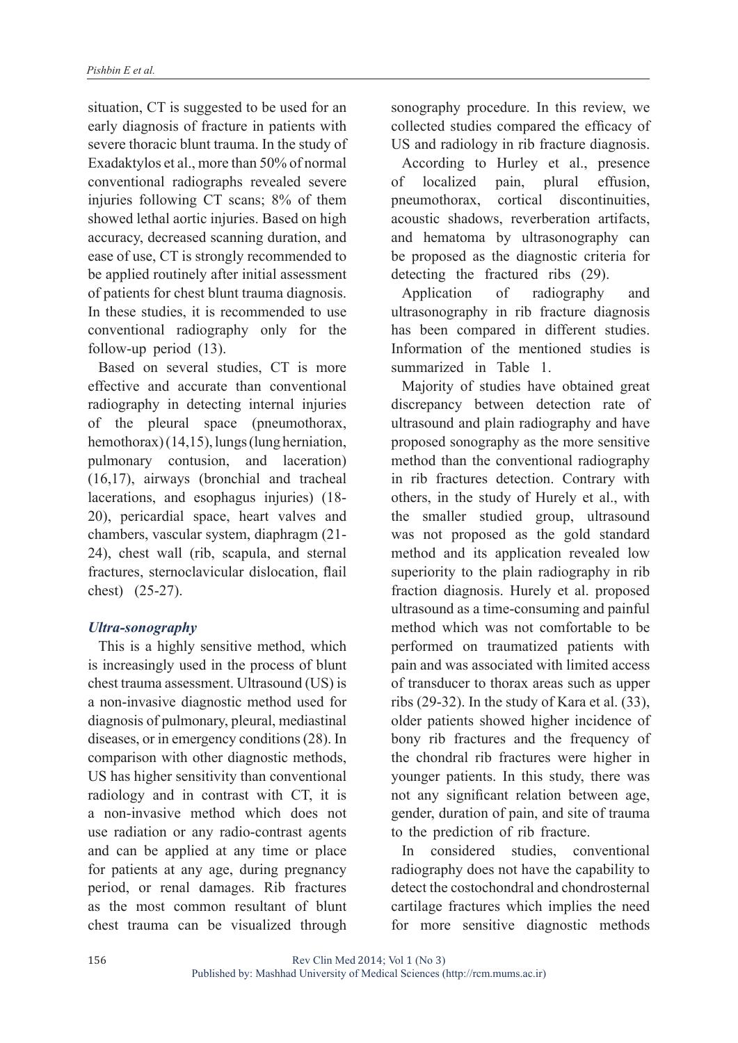situation, CT is suggested to be used for an early diagnosis of fracture in patients with severe thoracic blunt trauma. In the study of Exadaktylos et al., more than 50% of normal conventional radiographs revealed severe injuries following CT scans; 8% of them showed lethal aortic injuries. Based on high accuracy, decreased scanning duration, and ease of use, CT is strongly recommended to be applied routinely after initial assessment of patients for chest blunt trauma diagnosis. In these studies, it is recommended to use conventional radiography only for the follow-up period (13).

Based on several studies, CT is more effective and accurate than conventional radiography in detecting internal injuries of the pleural space (pneumothorax, hemothorax) (14,15), lungs (lung herniation, pulmonary contusion, and laceration) (16,17), airways (bronchial and tracheal lacerations, and esophagus injuries) (18- 20), pericardial space, heart valves and chambers, vascular system, diaphragm (21- 24), chest wall (rib, scapula, and sternal fractures, sternoclavicular dislocation, flail chest) (25-27).

### *Ultra-sonography*

This is a highly sensitive method, which is increasingly used in the process of blunt chest trauma assessment. Ultrasound (US) is a non-invasive diagnostic method used for diagnosis of pulmonary, pleural, mediastinal diseases, or in emergency conditions (28). In comparison with other diagnostic methods, US has higher sensitivity than conventional radiology and in contrast with CT, it is a non-invasive method which does not use radiation or any radio-contrast agents and can be applied at any time or place for patients at any age, during pregnancy period, or renal damages. Rib fractures as the most common resultant of blunt chest trauma can be visualized through

sonography procedure. In this review, we collected studies compared the efficacy of US and radiology in rib fracture diagnosis.

According to Hurley et al., presence of localized pain, plural effusion, pneumothorax, cortical discontinuities, acoustic shadows, reverberation artifacts, and hematoma by ultrasonography can be proposed as the diagnostic criteria for detecting the fractured ribs (29).

Application of radiography and ultrasonography in rib fracture diagnosis has been compared in different studies. Information of the mentioned studies is summarized in Table 1.

Majority of studies have obtained great discrepancy between detection rate of ultrasound and plain radiography and have proposed sonography as the more sensitive method than the conventional radiography in rib fractures detection. Contrary with others, in the study of Hurely et al., with the smaller studied group, ultrasound was not proposed as the gold standard method and its application revealed low superiority to the plain radiography in rib fraction diagnosis. Hurely et al. proposed ultrasound as a time-consuming and painful method which was not comfortable to be performed on traumatized patients with pain and was associated with limited access of transducer to thorax areas such as upper ribs (29-32). In the study of Kara et al. (33), older patients showed higher incidence of bony rib fractures and the frequency of the chondral rib fractures were higher in younger patients. In this study, there was not any significant relation between age, gender, duration of pain, and site of trauma to the prediction of rib fracture.

In considered studies, conventional radiography does not have the capability to detect the costochondral and chondrosternal cartilage fractures which implies the need for more sensitive diagnostic methods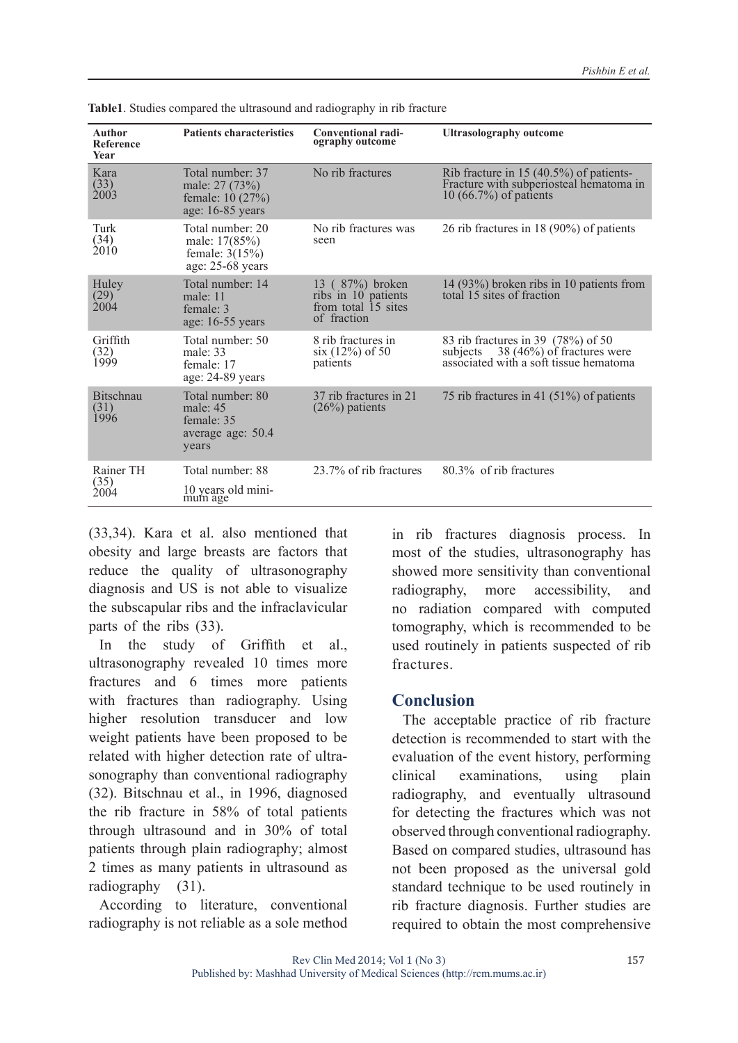| <b>Author</b><br><b>Reference</b><br>Year | <b>Patients characteristics</b>                                            | Conventional radi-<br>ography outcome                                        | <b>Ultrasolography outcome</b>                                                                                      |
|-------------------------------------------|----------------------------------------------------------------------------|------------------------------------------------------------------------------|---------------------------------------------------------------------------------------------------------------------|
| Kara<br>(33)<br>2003                      | Total number: 37<br>male: 27 (73%)<br>female: 10 (27%)<br>age: 16-85 years | No rib fractures                                                             | Rib fracture in 15 (40.5%) of patients-<br>Fracture with subperiosteal hematoma in<br>10 (66.7%) of patients        |
| Turk<br>(34)<br>2010                      | Total number: 20<br>male: 17(85%)<br>female: $3(15%)$<br>age: 25-68 years  | No rib fractures was<br>seen                                                 | 26 rib fractures in 18 $(90\%)$ of patients                                                                         |
| Huley<br>(29)<br>2004                     | Total number: 14<br>male: $11$<br>female: 3<br>age: 16-55 years            | 13 (87%) broken<br>ribs in 10 patients<br>from total 15 sites<br>of fraction | 14 (93%) broken ribs in 10 patients from<br>total 15 sites of fraction                                              |
| Griffith<br>(32)<br>1999                  | Total number: 50<br>male: $33$<br>female: 17<br>age: 24-89 years           | 8 rib fractures in<br>$six(12%)$ of 50<br>patients                           | 83 rib fractures in 39 (78%) of 50<br>subjects 38 (46%) of fractures were<br>associated with a soft tissue hematoma |
| <b>Bitschnau</b><br>(31)<br>1996          | Total number: 80<br>male: $45$<br>female: 35<br>average age: 50.4<br>years | 37 rib fractures in 21<br>$(26%)$ patients                                   | 75 rib fractures in 41 $(51\%)$ of patients                                                                         |
| Rainer TH<br>(35)<br>2004                 | Total number: 88                                                           | 23.7% of rib fractures                                                       | 80.3% of rib fractures                                                                                              |
|                                           | 10 years old mini-<br>mum age                                              |                                                                              |                                                                                                                     |

**Table1**. Studies compared the ultrasound and radiography in rib fracture

(33,34). Kara et al. also mentioned that obesity and large breasts are factors that reduce the quality of ultrasonography diagnosis and US is not able to visualize the subscapular ribs and the infraclavicular parts of the ribs (33).

In the study of Griffith et al., ultrasonography revealed 10 times more fractures and 6 times more patients with fractures than radiography. Using higher resolution transducer and low weight patients have been proposed to be related with higher detection rate of ultrasonography than conventional radiography (32). Bitschnau et al., in 1996, diagnosed the rib fracture in 58% of total patients through ultrasound and in 30% of total patients through plain radiography; almost 2 times as many patients in ultrasound as radiography (31).

According to literature, conventional radiography is not reliable as a sole method in rib fractures diagnosis process. In most of the studies, ultrasonography has showed more sensitivity than conventional radiography, more accessibility, and no radiation compared with computed tomography, which is recommended to be used routinely in patients suspected of rib fractures.

### **Conclusion**

The acceptable practice of rib fracture detection is recommended to start with the evaluation of the event history, performing clinical examinations, using plain radiography, and eventually ultrasound for detecting the fractures which was not observed through conventional radiography. Based on compared studies, ultrasound has not been proposed as the universal gold standard technique to be used routinely in rib fracture diagnosis. Further studies are required to obtain the most comprehensive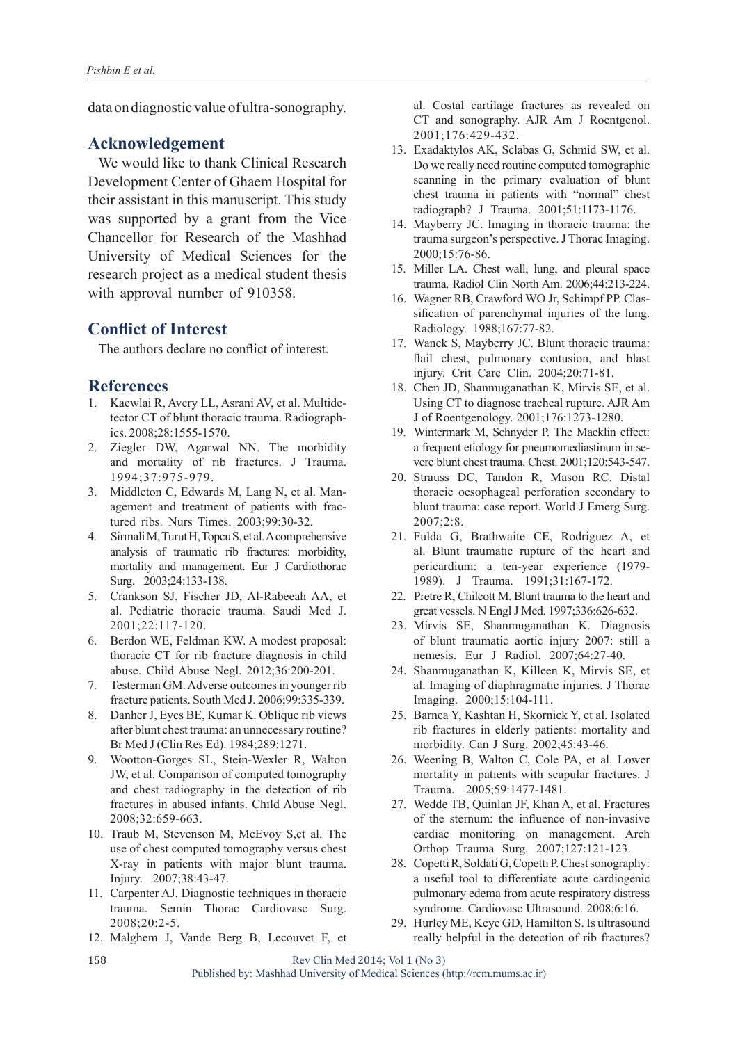data on diagnostic value of ultra-sonography.

# **Acknowledgement**

We would like to thank Clinical Research Development Center of Ghaem Hospital for their assistant in this manuscript. This study was supported by a grant from the Vice Chancellor for Research of the Mashhad University of Medical Sciences for the research project as a medical student thesis with approval number of 910358.

## **Conflict of Interest**

The authors declare no conflict of interest.

### **References**

- 1. Kaewlai R, Avery LL, Asrani AV, et al. Multidetector CT of blunt thoracic trauma. Radiographics. 2008;28:1555-1570.
- 2. Ziegler DW, Agarwal NN. The morbidity and mortality of rib fractures. J Trauma. 1994;37:975-979.
- 3. Middleton C, Edwards M, Lang N, et al. Management and treatment of patients with fractured ribs. Nurs Times. 2003;99:30-32.
- 4. Sirmali M, Turut H, Topcu S, et al. A comprehensive analysis of traumatic rib fractures: morbidity, mortality and management. Eur J Cardiothorac Surg. 2003;24:133-138.
- 5. Crankson SJ, Fischer JD, Al-Rabeeah AA, et al. Pediatric thoracic trauma. Saudi Med J. 2001;22:117-120.
- 6. Berdon WE, Feldman KW. A modest proposal: thoracic CT for rib fracture diagnosis in child abuse. Child Abuse Negl. 2012;36:200-201.
- 7. Testerman GM. Adverse outcomes in younger rib fracture patients. South Med J. 2006;99:335-339.
- 8. Danher J, Eyes BE, Kumar K. Oblique rib views after blunt chest trauma: an unnecessary routine? Br Med J (Clin Res Ed). 1984;289:1271.
- 9. Wootton-Gorges SL, Stein-Wexler R, Walton JW, et al. Comparison of computed tomography and chest radiography in the detection of rib fractures in abused infants. Child Abuse Negl. 2008;32:659-663.
- 10. Traub M, Stevenson M, McEvoy S,et al. The use of chest computed tomography versus chest X-ray in patients with major blunt trauma. Injury. 2007;38:43-47.
- 11. Carpenter AJ. Diagnostic techniques in thoracic trauma. Semin Thorac Cardiovasc Surg. 2008;20:2-5.
- 12. Malghem J, Vande Berg B, Lecouvet F, et

al. Costal cartilage fractures as revealed on CT and sonography. AJR Am J Roentgenol. 2001;176:429-432.

- 13. Exadaktylos AK, Sclabas G, Schmid SW, et al. Do we really need routine computed tomographic scanning in the primary evaluation of blunt chest trauma in patients with "normal" chest radiograph? J Trauma. 2001;51:1173-1176.
- 14. Mayberry JC. Imaging in thoracic trauma: the trauma surgeon's perspective. J Thorac Imaging. 2000;15:76-86.
- 15. Miller LA. Chest wall, lung, and pleural space trauma. Radiol Clin North Am. 2006;44:213-224.
- 16. Wagner RB, Crawford WO Jr, Schimpf PP. Classification of parenchymal injuries of the lung. Radiology. 1988;167:77-82.
- 17. Wanek S, Mayberry JC. Blunt thoracic trauma: flail chest, pulmonary contusion, and blast injury. Crit Care Clin. 2004;20:71-81.
- 18. Chen JD, Shanmuganathan K, Mirvis SE, et al. Using CT to diagnose tracheal rupture. AJR Am J of Roentgenology. 2001;176:1273-1280.
- 19. Wintermark M, Schnyder P. The Macklin effect: a frequent etiology for pneumomediastinum in severe blunt chest trauma. Chest. 2001;120:543-547.
- 20. Strauss DC, Tandon R, Mason RC. Distal thoracic oesophageal perforation secondary to blunt trauma: case report. World J Emerg Surg. 2007;2:8.
- 21. Fulda G, Brathwaite CE, Rodriguez A, et al. Blunt traumatic rupture of the heart and pericardium: a ten-year experience (1979- 1989). J Trauma. 1991;31:167-172.
- 22. Pretre R, Chilcott M. Blunt trauma to the heart and great vessels. N Engl J Med. 1997;336:626-632.
- 23. Mirvis SE, Shanmuganathan K. Diagnosis of blunt traumatic aortic injury 2007: still a nemesis. Eur J Radiol. 2007;64:27-40.
- 24. Shanmuganathan K, Killeen K, Mirvis SE, et al. Imaging of diaphragmatic injuries. J Thorac Imaging. 2000;15:104-111.
- 25. Barnea Y, Kashtan H, Skornick Y, et al. Isolated rib fractures in elderly patients: mortality and morbidity. Can J Surg. 2002;45:43-46.
- 26. Weening B, Walton C, Cole PA, et al. Lower mortality in patients with scapular fractures. J Trauma. 2005;59:1477-1481.
- 27. Wedde TB, Quinlan JF, Khan A, et al. Fractures of the sternum: the influence of non-invasive cardiac monitoring on management. Arch Orthop Trauma Surg. 2007;127:121-123.
- 28. Copetti R, Soldati G, Copetti P. Chest sonography: a useful tool to differentiate acute cardiogenic pulmonary edema from acute respiratory distress syndrome. Cardiovasc Ultrasound. 2008;6:16.
- 29. Hurley ME, Keye GD, Hamilton S. Is ultrasound really helpful in the detection of rib fractures?

158

Rev Clin Med 2014; Vol 1 (No 3) Published by: Mashhad University of Medical Sciences (http://rcm.mums.ac.ir)